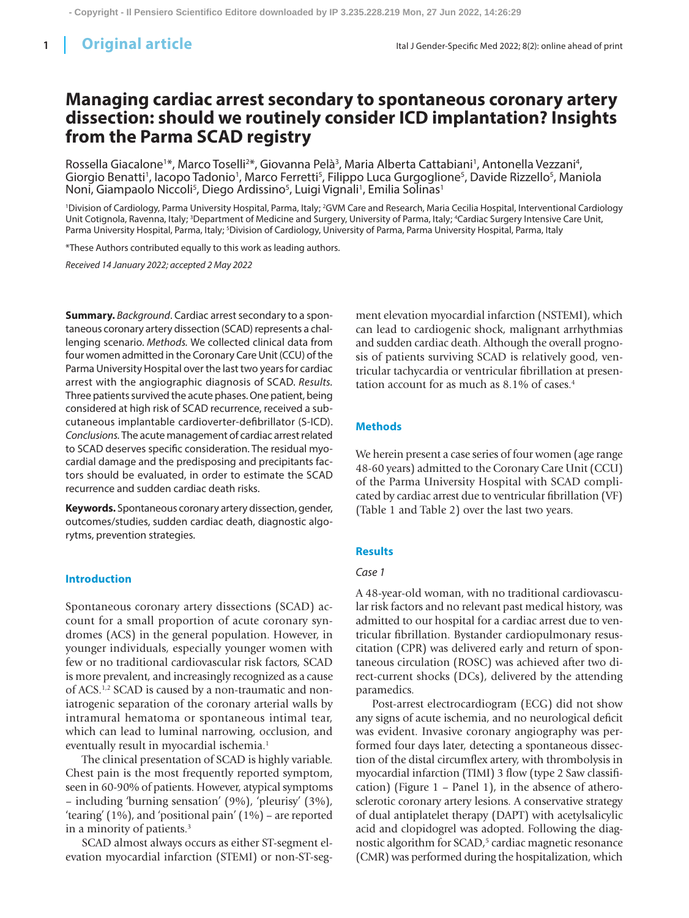# **Managing cardiac arrest secondary to spontaneous coronary artery dissection: should we routinely consider ICD implantation? Insights from the Parma SCAD registry**

Rossella Giacalone<sup>1\*</sup>, Marco Toselli<sup>2\*</sup>, Giovanna Pelà<sup>3</sup>, Maria Alberta Cattabiani<sup>1</sup>, Antonella Vezzani<sup>4</sup>, Giorgio Benatti<sup>1</sup>, Iacopo Tadonio<sup>1</sup>, Marco Ferretti<sup>5</sup>, Filippo Luca Gurgoglione<sup>5</sup>, Davide Rizzello<sup>5</sup>, Maniola Noni, Giampaolo Niccoli<sup>s</sup>, Diego Ardissino<sup>s</sup>, Luigi Vignali<sup>1</sup>, Emilia Solinas<sup>1</sup>

'Division of Cardiology, Parma University Hospital, Parma, Italy; <sup>2</sup>GVM Care and Research, Maria Cecilia Hospital, Interventional Cardiology Unit Cotignola, Ravenna, Italy; <sup>3</sup>Department of Medicine and Surgery, University of Parma, Italy; <sup>4</sup>Cardiac Surgery Intensive Care Unit, Parma University Hospital, Parma, Italy; <sup>s</sup>Division of Cardiology, University of Parma, Parma University Hospital, Parma, Italy

\*These Authors contributed equally to this work as leading authors.

*Received 14 January 2022; accepted 2 May 2022*

**Summary.** *Background*. Cardiac arrest secondary to a spontaneous coronary artery dissection (SCAD) represents a challenging scenario. *Methods.* We collected clinical data from four women admitted in the Coronary Care Unit (CCU) of the Parma University Hospital over the last two years for cardiac arrest with the angiographic diagnosis of SCAD. *Results.* Three patients survived the acute phases. One patient, being considered at high risk of SCAD recurrence, received a subcutaneous implantable cardioverter-defibrillator (S-ICD). *Conclusions.* The acute management of cardiac arrest related to SCAD deserves specific consideration. The residual myocardial damage and the predisposing and precipitants factors should be evaluated, in order to estimate the SCAD recurrence and sudden cardiac death risks.

**Keywords.** Spontaneous coronary artery dissection,gender, outcomes/studies, sudden cardiac death, diagnostic algorytms, prevention strategies.

#### **Introduction**

Spontaneous coronary artery dissections (SCAD) account for a small proportion of acute coronary syndromes (ACS) in the general population. However, in younger individuals, especially younger women with few or no traditional cardiovascular risk factors, SCAD is more prevalent, and increasingly recognized as a cause of ACS.1,2 SCAD is caused by a non-traumatic and noniatrogenic separation of the coronary arterial walls by intramural hematoma or spontaneous intimal tear, which can lead to luminal narrowing, occlusion, and eventually result in myocardial ischemia.<sup>1</sup>

The clinical presentation of SCAD is highly variable. Chest pain is the most frequently reported symptom, seen in 60-90% of patients. However, atypical symptoms – including 'burning sensation' (9%), 'pleurisy' (3%), 'tearing' (1%), and 'positional pain' (1%) – are reported in a minority of patients.3

SCAD almost always occurs as either ST-segment elevation myocardial infarction (STEMI) or non-ST-segment elevation myocardial infarction (NSTEMI), which can lead to cardiogenic shock, malignant arrhythmias and sudden cardiac death. Although the overall prognosis of patients surviving SCAD is relatively good, ventricular tachycardia or ventricular fibrillation at presentation account for as much as 8.1% of cases.<sup>4</sup>

#### **Methods**

We herein present a case series of four women (age range 48-60 years) admitted to the Coronary Care Unit (CCU) of the Parma University Hospital with SCAD complicated by cardiac arrest due to ventricular fibrillation (VF) (Table 1 and Table 2) over the last two years.

#### **Results**

#### *Case 1*

A 48-year-old woman, with no traditional cardiovascular risk factors and no relevant past medical history, was admitted to our hospital for a cardiac arrest due to ventricular fibrillation. Bystander cardiopulmonary resuscitation (CPR) was delivered early and return of spontaneous circulation (ROSC) was achieved after two direct-current shocks (DCs), delivered by the attending paramedics.

Post-arrest electrocardiogram (ECG) did not show any signs of acute ischemia, and no neurological deficit was evident. Invasive coronary angiography was performed four days later, detecting a spontaneous dissection of the distal circumflex artery, with thrombolysis in myocardial infarction (TIMI) 3 flow (type 2 Saw classification) (Figure 1 – Panel 1), in the absence of atherosclerotic coronary artery lesions. A conservative strategy of dual antiplatelet therapy (DAPT) with acetylsalicylic acid and clopidogrel was adopted. Following the diagnostic algorithm for SCAD,<sup>5</sup> cardiac magnetic resonance (CMR) was performed during the hospitalization, which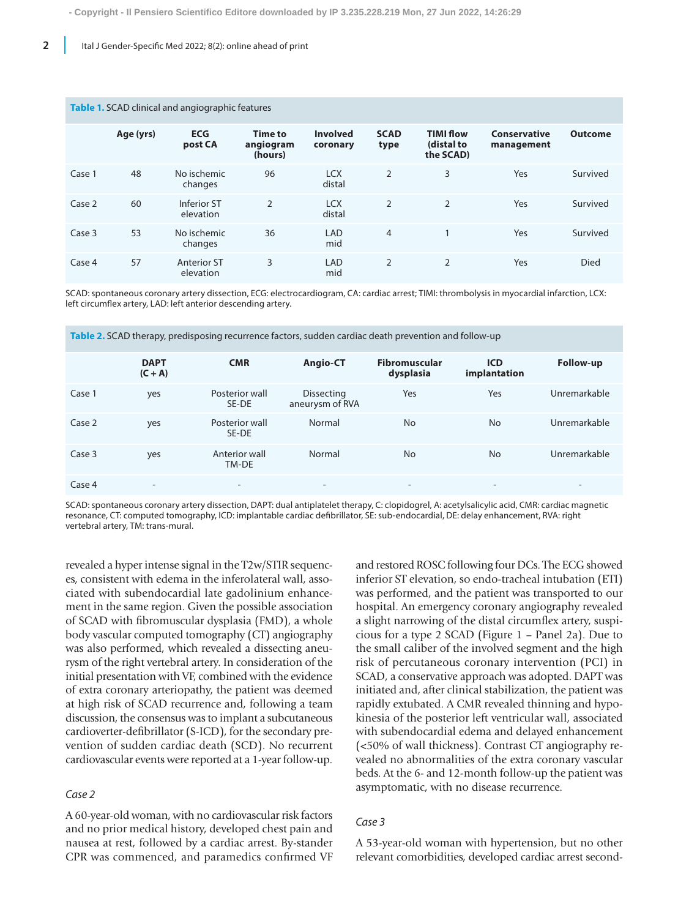| <b>Table 1.</b> SCAD clinical and angiographic features |           |                                 |                                        |                             |                     |                                             |                                   |                |
|---------------------------------------------------------|-----------|---------------------------------|----------------------------------------|-----------------------------|---------------------|---------------------------------------------|-----------------------------------|----------------|
|                                                         | Age (yrs) | <b>ECG</b><br>post CA           | <b>Time to</b><br>angiogram<br>(hours) | <b>Involved</b><br>coronary | <b>SCAD</b><br>type | <b>TIMI flow</b><br>(distal to<br>the SCAD) | <b>Conservative</b><br>management | <b>Outcome</b> |
| Case 1                                                  | 48        | No ischemic<br>changes          | 96                                     | <b>LCX</b><br>distal        | $\overline{2}$      | 3                                           | Yes                               | Survived       |
| Case 2                                                  | 60        | Inferior ST<br>elevation        | $\overline{2}$                         | <b>LCX</b><br>distal        | $\overline{2}$      | $\overline{2}$                              | Yes                               | Survived       |
| Case 3                                                  | 53        | No ischemic<br>changes          | 36                                     | LAD<br>mid                  | $\overline{4}$      |                                             | Yes                               | Survived       |
| Case 4                                                  | 57        | <b>Anterior ST</b><br>elevation | 3                                      | LAD<br>mid                  | $\overline{2}$      | $\overline{2}$                              | Yes                               | <b>Died</b>    |

SCAD: spontaneous coronary artery dissection, ECG: electrocardiogram, CA: cardiac arrest; TIMI: thrombolysis in myocardial infarction, LCX: left circumflex artery, LAD: left anterior descending artery.

|        | <b>DAPT</b><br>$(C + A)$ | <b>CMR</b>               | Angio-CT                             | <b>Fibromuscular</b><br>dysplasia | <b>ICD</b><br>implantation | Follow-up                |
|--------|--------------------------|--------------------------|--------------------------------------|-----------------------------------|----------------------------|--------------------------|
| Case 1 | yes                      | Posterior wall<br>SE-DE  | <b>Dissecting</b><br>aneurysm of RVA | Yes                               | Yes                        | Unremarkable             |
| Case 2 | yes                      | Posterior wall<br>SE-DE  | Normal                               | <b>No</b>                         | <b>No</b>                  | Unremarkable             |
| Case 3 | yes                      | Anterior wall<br>TM-DE   | Normal                               | <b>No</b>                         | <b>No</b>                  | Unremarkable             |
| Case 4 |                          | $\overline{\phantom{a}}$ | $\overline{\phantom{0}}$             | $\overline{\phantom{0}}$          | -                          | $\overline{\phantom{0}}$ |

**Table 2.** SCAD therapy, predisposing recurrence factors, sudden cardiac death prevention and follow-up

SCAD: spontaneous coronary artery dissection, DAPT: dual antiplatelet therapy, C: clopidogrel, A: acetylsalicylic acid, CMR: cardiac magnetic resonance, CT: computed tomography, ICD: implantable cardiac defibrillator, SE: sub-endocardial, DE: delay enhancement, RVA: right vertebral artery, TM: trans-mural.

revealed a hyper intense signal in the T2w/STIR sequences, consistent with edema in the inferolateral wall, associated with subendocardial late gadolinium enhancement in the same region. Given the possible association of SCAD with fibromuscular dysplasia (FMD), a whole body vascular computed tomography (CT) angiography was also performed, which revealed a dissecting aneurysm of the right vertebral artery. In consideration of the initial presentation with VF, combined with the evidence of extra coronary arteriopathy, the patient was deemed at high risk of SCAD recurrence and, following a team discussion, the consensus was to implant a subcutaneous cardioverter-defibrillator (S-ICD), for the secondary prevention of sudden cardiac death (SCD). No recurrent cardiovascular events were reported at a 1-year follow-up.

#### *Case 2*

A 60-year-old woman, with no cardiovascular risk factors and no prior medical history, developed chest pain and nausea at rest, followed by a cardiac arrest. By-stander CPR was commenced, and paramedics confirmed VF and restored ROSC following four DCs. The ECG showed inferior ST elevation, so endo-tracheal intubation (ETI) was performed, and the patient was transported to our hospital. An emergency coronary angiography revealed a slight narrowing of the distal circumflex artery, suspicious for a type 2 SCAD (Figure 1 – Panel 2a). Due to the small caliber of the involved segment and the high risk of percutaneous coronary intervention (PCI) in SCAD, a conservative approach was adopted. DAPT was initiated and, after clinical stabilization, the patient was rapidly extubated. A CMR revealed thinning and hypokinesia of the posterior left ventricular wall, associated with subendocardial edema and delayed enhancement (<50% of wall thickness). Contrast CT angiography revealed no abnormalities of the extra coronary vascular beds. At the 6- and 12-month follow-up the patient was asymptomatic, with no disease recurrence.

# *Case 3*

A 53-year-old woman with hypertension, but no other relevant comorbidities, developed cardiac arrest second-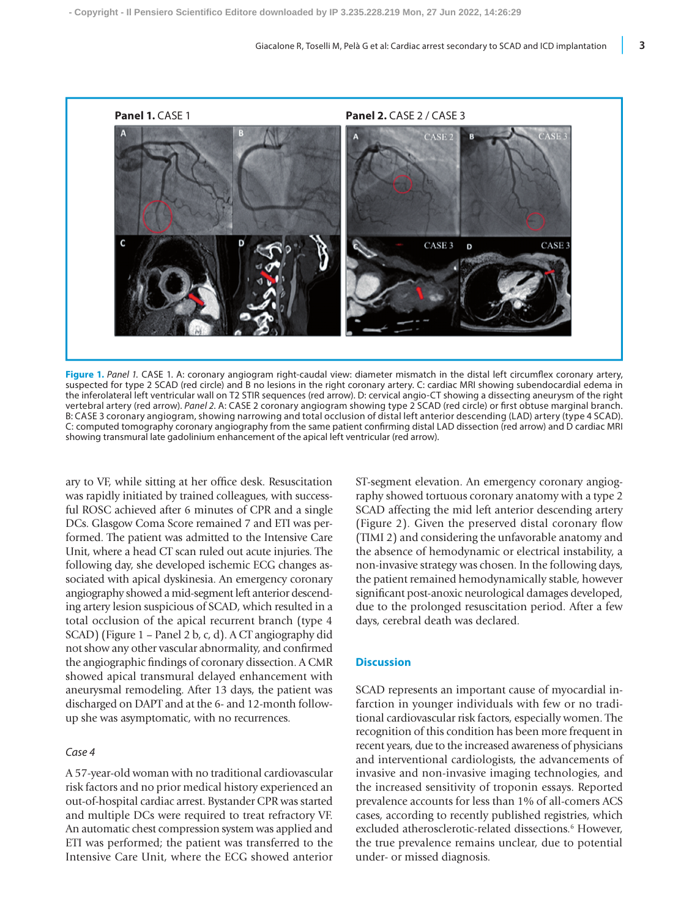

**Figure 1.** *Panel 1.* CASE 1. A: coronary angiogram right-caudal view: diameter mismatch in the distal left circumflex coronary artery, suspected for type 2 SCAD (red circle) and B no lesions in the right coronary artery. C: cardiac MRI showing subendocardial edema in the inferolateral left ventricular wall on T2 STIR sequences (red arrow). D: cervical angio-CT showing a dissecting aneurysm of the right vertebral artery (red arrow). *Panel 2*. A: CASE 2 coronary angiogram showing type 2 SCAD (red circle) or first obtuse marginal branch. B: CASE 3 coronary angiogram, showing narrowing and total occlusion of distal left anterior descending (LAD) artery (type 4 SCAD). C: computed tomography coronary angiography from the same patient confirming distal LAD dissection (red arrow) and D cardiac MRI showing transmural late gadolinium enhancement of the apical left ventricular (red arrow).

ary to VF, while sitting at her office desk. Resuscitation was rapidly initiated by trained colleagues, with successful ROSC achieved after 6 minutes of CPR and a single DCs. Glasgow Coma Score remained 7 and ETI was performed. The patient was admitted to the Intensive Care Unit, where a head CT scan ruled out acute injuries. The following day, she developed ischemic ECG changes associated with apical dyskinesia. An emergency coronary angiography showed a mid-segment left anterior descending artery lesion suspicious of SCAD, which resulted in a total occlusion of the apical recurrent branch (type 4 SCAD) (Figure 1 – Panel 2 b, c, d). A CT angiography did not show any other vascular abnormality, and confirmed the angiographic findings of coronary dissection. A CMR showed apical transmural delayed enhancement with aneurysmal remodeling. After 13 days, the patient was discharged on DAPT and at the 6- and 12-month followup she was asymptomatic, with no recurrences.

# *Case 4*

A 57-year-old woman with no traditional cardiovascular risk factors and no prior medical history experienced an out-of-hospital cardiac arrest. Bystander CPR was started and multiple DCs were required to treat refractory VF. An automatic chest compression system was applied and ETI was performed; the patient was transferred to the Intensive Care Unit, where the ECG showed anterior ST-segment elevation. An emergency coronary angiography showed tortuous coronary anatomy with a type 2 SCAD affecting the mid left anterior descending artery (Figure 2). Given the preserved distal coronary flow (TIMI 2) and considering the unfavorable anatomy and the absence of hemodynamic or electrical instability, a non-invasive strategy was chosen. In the following days, the patient remained hemodynamically stable, however significant post-anoxic neurological damages developed, due to the prolonged resuscitation period. After a few days, cerebral death was declared.

# **Discussion**

SCAD represents an important cause of myocardial infarction in younger individuals with few or no traditional cardiovascular risk factors, especially women. The recognition of this condition has been more frequent in recent years, due to the increased awareness of physicians and interventional cardiologists, the advancements of invasive and non-invasive imaging technologies, and the increased sensitivity of troponin essays. Reported prevalence accounts for less than 1% of all-comers ACS cases, according to recently published registries, which excluded atherosclerotic-related dissections.<sup>6</sup> However, the true prevalence remains unclear, due to potential under- or missed diagnosis.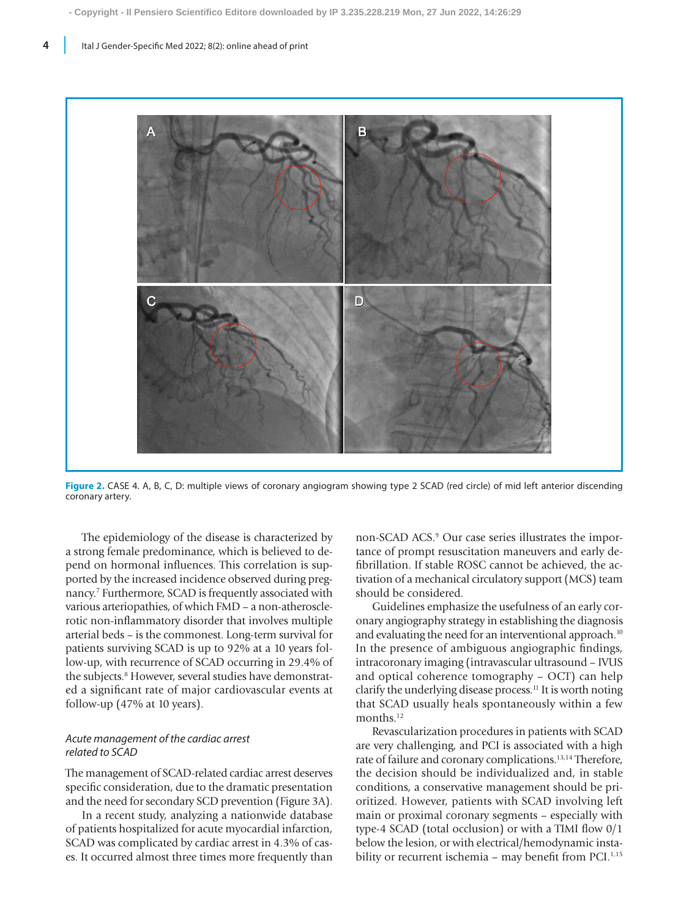

**Figure 2.** CASE 4. A, B, C, D: multiple views of coronary angiogram showing type 2 SCAD (red circle) of mid left anterior discending coronary artery.

The epidemiology of the disease is characterized by a strong female predominance, which is believed to depend on hormonal influences. This correlation is supported by the increased incidence observed during pregnancy.7 Furthermore, SCAD is frequently associated with various arteriopathies, of which FMD – a non-atherosclerotic non-inflammatory disorder that involves multiple arterial beds – is the commonest. Long-term survival for patients surviving SCAD is up to 92% at a 10 years follow-up, with recurrence of SCAD occurring in 29.4% of the subjects.<sup>8</sup> However, several studies have demonstrated a significant rate of major cardiovascular events at follow-up (47% at 10 years).

# *Acute management of the cardiac arrest related to SCAD*

The management of SCAD-related cardiac arrest deserves specific consideration, due to the dramatic presentation and the need for secondary SCD prevention (Figure 3A).

In a recent study, analyzing a nationwide database of patients hospitalized for acute myocardial infarction, SCAD was complicated by cardiac arrest in 4.3% of cases. It occurred almost three times more frequently than non-SCAD ACS.<sup>9</sup> Our case series illustrates the importance of prompt resuscitation maneuvers and early defibrillation. If stable ROSC cannot be achieved, the activation of a mechanical circulatory support (MCS) team should be considered.

Guidelines emphasize the usefulness of an early coronary angiography strategy in establishing the diagnosis and evaluating the need for an interventional approach.<sup>10</sup> In the presence of ambiguous angiographic findings, intracoronary imaging (intravascular ultrasound – IVUS and optical coherence tomography – OCT) can help clarify the underlying disease process.<sup>11</sup> It is worth noting that SCAD usually heals spontaneously within a few months.<sup>12</sup>

Revascularization procedures in patients with SCAD are very challenging, and PCI is associated with a high rate of failure and coronary complications.13,14 Therefore, the decision should be individualized and, in stable conditions, a conservative management should be prioritized. However, patients with SCAD involving left main or proximal coronary segments – especially with type-4 SCAD (total occlusion) or with a TIMI flow 0/1 below the lesion, or with electrical/hemodynamic instability or recurrent ischemia – may benefit from PCI.<sup>1,15</sup>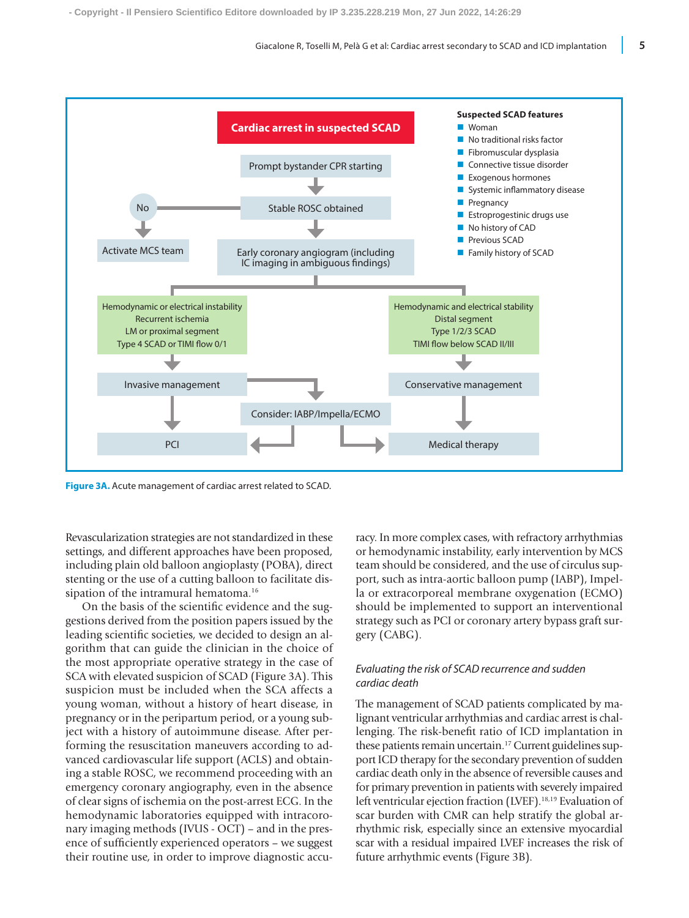

**Figure 3A.** Acute management of cardiac arrest related to SCAD.

Revascularization strategies are not standardized in these settings, and different approaches have been proposed, including plain old balloon angioplasty (POBA), direct stenting or the use of a cutting balloon to facilitate dissipation of the intramural hematoma.<sup>16</sup>

On the basis of the scientific evidence and the suggestions derived from the position papers issued by the leading scientific societies, we decided to design an algorithm that can guide the clinician in the choice of the most appropriate operative strategy in the case of SCA with elevated suspicion of SCAD (Figure 3A). This suspicion must be included when the SCA affects a young woman, without a history of heart disease, in pregnancy or in the peripartum period, or a young subject with a history of autoimmune disease. After performing the resuscitation maneuvers according to advanced cardiovascular life support (ACLS) and obtaining a stable ROSC, we recommend proceeding with an emergency coronary angiography, even in the absence of clear signs of ischemia on the post-arrest ECG. In the hemodynamic laboratories equipped with intracoronary imaging methods (IVUS - OCT) – and in the presence of sufficiently experienced operators – we suggest their routine use, in order to improve diagnostic accuracy. In more complex cases, with refractory arrhythmias or hemodynamic instability, early intervention by MCS team should be considered, and the use of circulus support, such as intra-aortic balloon pump (IABP), Impella or extracorporeal membrane oxygenation (ECMO) should be implemented to support an interventional strategy such as PCI or coronary artery bypass graft surgery (CABG).

# *Evaluating the risk of SCAD recurrence and sudden cardiac death*

The management of SCAD patients complicated by malignant ventricular arrhythmias and cardiac arrest is challenging. The risk-benefit ratio of ICD implantation in these patients remain uncertain.<sup>17</sup> Current guidelines support ICD therapy for the secondary prevention of sudden cardiac death only in the absence of reversible causes and for primary prevention in patients with severely impaired left ventricular ejection fraction (LVEF).<sup>18,19</sup> Evaluation of scar burden with CMR can help stratify the global arrhythmic risk, especially since an extensive myocardial scar with a residual impaired LVEF increases the risk of future arrhythmic events (Figure 3B).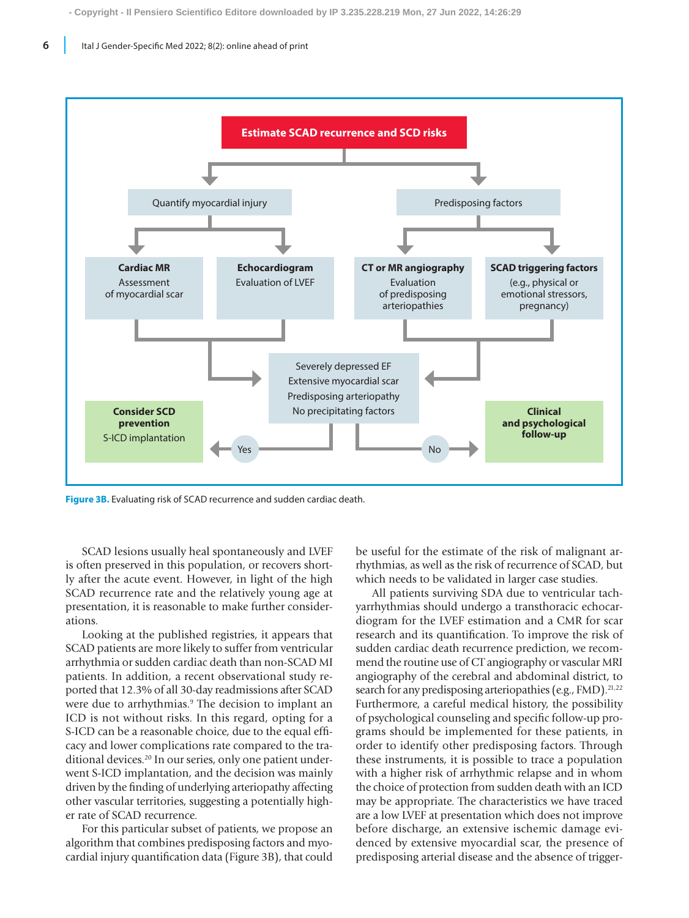

**Figure 3B.** Evaluating risk of SCAD recurrence and sudden cardiac death.

SCAD lesions usually heal spontaneously and LVEF is often preserved in this population, or recovers shortly after the acute event. However, in light of the high SCAD recurrence rate and the relatively young age at presentation, it is reasonable to make further considerations.

Looking at the published registries, it appears that SCAD patients are more likely to suffer from ventricular arrhythmia or sudden cardiac death than non-SCAD MI patients. In addition, a recent observational study reported that 12.3% of all 30-day readmissions after SCAD were due to arrhythmias.<sup>9</sup> The decision to implant an ICD is not without risks. In this regard, opting for a S-ICD can be a reasonable choice, due to the equal efficacy and lower complications rate compared to the traditional devices.<sup>20</sup> In our series, only one patient underwent S-ICD implantation, and the decision was mainly driven by the finding of underlying arteriopathy affecting other vascular territories, suggesting a potentially higher rate of SCAD recurrence.

For this particular subset of patients, we propose an algorithm that combines predisposing factors and myocardial injury quantification data (Figure 3B), that could be useful for the estimate of the risk of malignant arrhythmias, as well as the risk of recurrence of SCAD, but which needs to be validated in larger case studies.

All patients surviving SDA due to ventricular tachyarrhythmias should undergo a transthoracic echocardiogram for the LVEF estimation and a CMR for scar research and its quantification. To improve the risk of sudden cardiac death recurrence prediction, we recommend the routine use of CT angiography or vascular MRI angiography of the cerebral and abdominal district, to search for any predisposing arteriopathies (e.g., FMD).<sup>21,22</sup> Furthermore, a careful medical history, the possibility of psychological counseling and specific follow-up programs should be implemented for these patients, in order to identify other predisposing factors. Through these instruments, it is possible to trace a population with a higher risk of arrhythmic relapse and in whom the choice of protection from sudden death with an ICD may be appropriate. The characteristics we have traced are a low LVEF at presentation which does not improve before discharge, an extensive ischemic damage evidenced by extensive myocardial scar, the presence of predisposing arterial disease and the absence of trigger-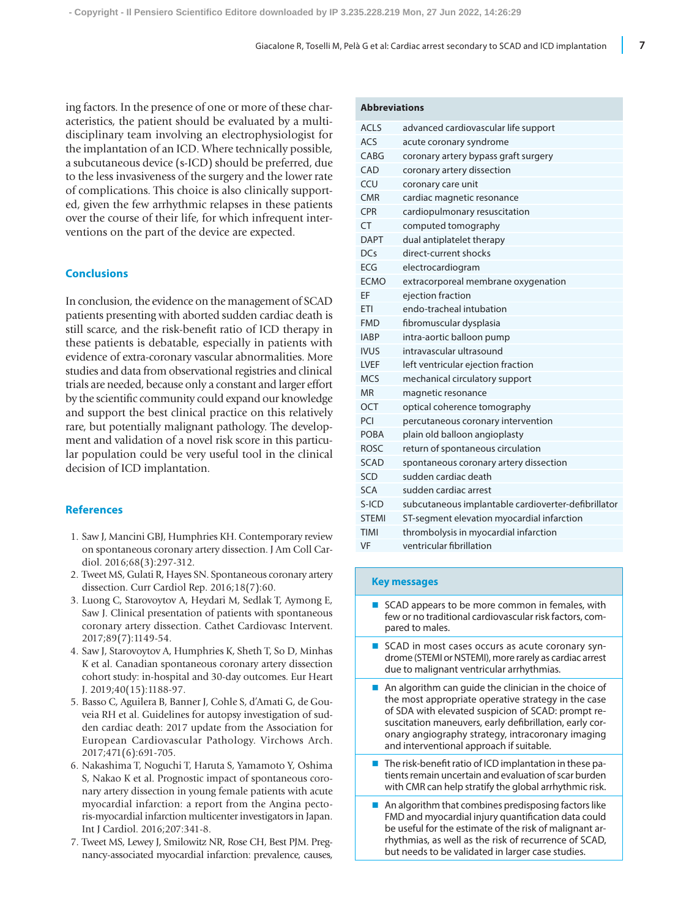ing factors. In the presence of one or more of these characteristics, the patient should be evaluated by a multidisciplinary team involving an electrophysiologist for the implantation of an ICD. Where technically possible, a subcutaneous device (s-ICD) should be preferred, due to the less invasiveness of the surgery and the lower rate of complications. This choice is also clinically supported, given the few arrhythmic relapses in these patients over the course of their life, for which infrequent interventions on the part of the device are expected.

# **Conclusions**

In conclusion, the evidence on the management of SCAD patients presenting with aborted sudden cardiac death is still scarce, and the risk-benefit ratio of ICD therapy in these patients is debatable, especially in patients with evidence of extra-coronary vascular abnormalities. More studies and data from observational registries and clinical trials are needed, because only a constant and larger effort by the scientific community could expand our knowledge and support the best clinical practice on this relatively rare, but potentially malignant pathology. The development and validation of a novel risk score in this particular population could be very useful tool in the clinical decision of ICD implantation.

#### **References**

- 1. Saw J, Mancini GBJ, Humphries KH. Contemporary review on spontaneous coronary artery dissection. J Am Coll Cardiol. 2016;68(3):297-312.
- 2. Tweet MS, Gulati R, Hayes SN. Spontaneous coronary artery dissection. Curr Cardiol Rep. 2016;18(7):60.
- 3. Luong C, Starovoytov A, Heydari M, Sedlak T, Aymong E, Saw J. Clinical presentation of patients with spontaneous coronary artery dissection. Cathet Cardiovasc Intervent. 2017;89(7):1149-54.
- 4. Saw J, Starovoytov A, Humphries K, Sheth T, So D, Minhas K et al. Canadian spontaneous coronary artery dissection cohort study: in-hospital and 30-day outcomes. Eur Heart J. 2019;40(15):1188-97.
- 5. Basso C, Aguilera B, Banner J, Cohle S, d'Amati G, de Gouveia RH et al. Guidelines for autopsy investigation of sudden cardiac death: 2017 update from the Association for European Cardiovascular Pathology. Virchows Arch. 2017;471(6):691-705.
- 6. Nakashima T, Noguchi T, Haruta S, Yamamoto Y, Oshima S, Nakao K et al. Prognostic impact of spontaneous coronary artery dissection in young female patients with acute myocardial infarction: a report from the Angina pectoris-myocardial infarction multicenter investigators in Japan. Int J Cardiol. 2016;207:341-8.
- 7. Tweet MS, Lewey J, Smilowitz NR, Rose CH, Best PJM. Pregnancy-associated myocardial infarction: prevalence, causes,

#### **Abbreviations**

| <b>ACLS</b>  | advanced cardiovascular life support                |
|--------------|-----------------------------------------------------|
| ACS          | acute coronary syndrome                             |
| CABG         | coronary artery bypass graft surgery                |
| CAD          | coronary artery dissection                          |
| CCU          | coronary care unit                                  |
| <b>CMR</b>   | cardiac magnetic resonance                          |
| <b>CPR</b>   | cardiopulmonary resuscitation                       |
| <b>CT</b>    | computed tomography                                 |
| <b>DAPT</b>  | dual antiplatelet therapy                           |
| DCs          | direct-current shocks                               |
| <b>FCG</b>   | electrocardiogram                                   |
| <b>FCMO</b>  | extracorporeal membrane oxygenation                 |
| EF           | ejection fraction                                   |
| FTI          | endo-tracheal intubation                            |
| <b>FMD</b>   | fibromuscular dysplasia                             |
| <b>IARP</b>  | intra-aortic balloon pump                           |
| <b>IVUS</b>  | intravascular ultrasound                            |
| LVEF         | left ventricular ejection fraction                  |
| <b>MCS</b>   | mechanical circulatory support                      |
| <b>MR</b>    | magnetic resonance                                  |
| OCT          | optical coherence tomography                        |
| PCI          | percutaneous coronary intervention                  |
| <b>POBA</b>  | plain old balloon angioplasty                       |
| <b>ROSC</b>  | return of spontaneous circulation                   |
| <b>SCAD</b>  | spontaneous coronary artery dissection              |
| SCD          | sudden cardiac death                                |
| SCA          | sudden cardiac arrest                               |
| $S-ICD$      | subcutaneous implantable cardioverter-defibrillator |
| <b>STEMI</b> | ST-segment elevation myocardial infarction          |
| <b>TIMI</b>  | thrombolysis in myocardial infarction               |
| VF           | ventricular fibrillation                            |
|              |                                                     |

#### **Key messages**

- $\blacksquare$  SCAD appears to be more common in females, with few or no traditional cardiovascular risk factors, compared to males.
- SCAD in most cases occurs as acute coronary syndrome (STEMI or NSTEMI), more rarely as cardiac arrest due to malignant ventricular arrhythmias.
- $\blacksquare$  An algorithm can guide the clinician in the choice of the most appropriate operative strategy in the case of SDA with elevated suspicion of SCAD: prompt resuscitation maneuvers, early defibrillation, early coronary angiography strategy, intracoronary imaging and interventional approach if suitable.
- $\blacksquare$  The risk-benefit ratio of ICD implantation in these patients remain uncertain and evaluation of scar burden with CMR can help stratify the global arrhythmic risk.
- $\blacksquare$  An algorithm that combines predisposing factors like FMD and myocardial injury quantification data could be useful for the estimate of the risk of malignant arrhythmias, as well as the risk of recurrence of SCAD, but needs to be validated in larger case studies.